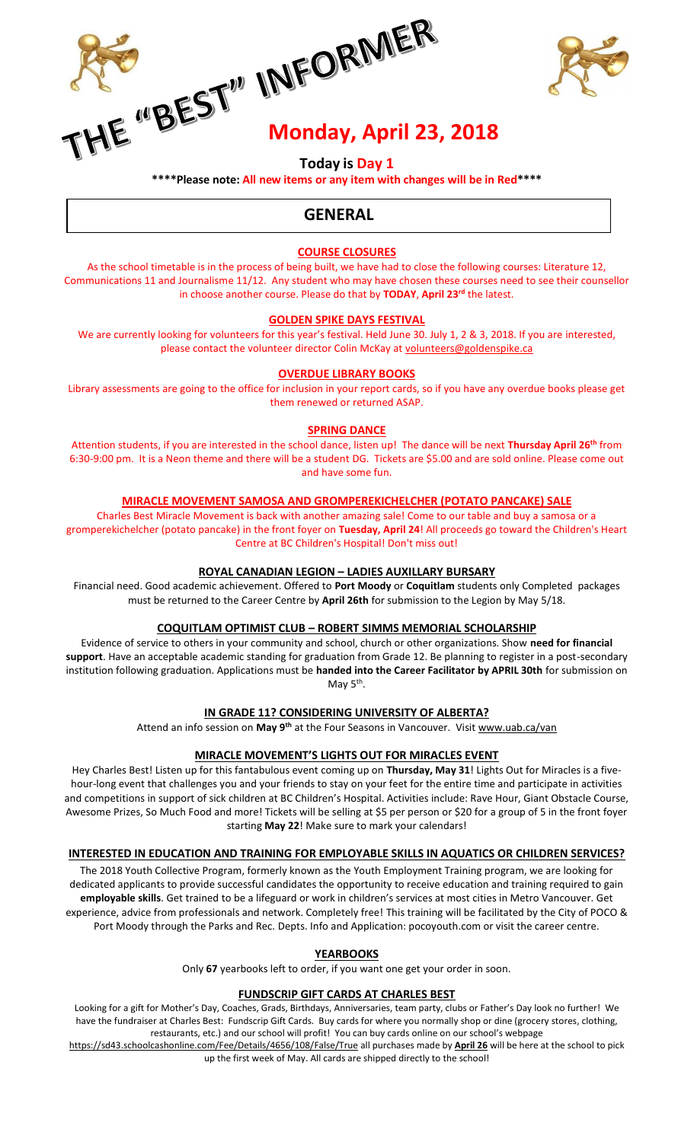**ME ORMER**<br>IE OBEST<sup>IN</sup> INFORMER



# **Today is Day 1**

**\*\*\*\*Please note: All new items or any item with changes will be in Red\*\*\*\*** 

# **GENERAL**

## **COURSE CLOSURES**

As the school timetable is in the process of being built, we have had to close the following courses: Literature 12, Communications 11 and Journalisme 11/12. Any student who may have chosen these courses need to see their counsellor in choose another course. Please do that by **TODAY**, **April 23rd** the latest.

## **GOLDEN SPIKE DAYS FESTIVAL**

We are currently looking for volunteers for this year's festival. Held June 30. July 1, 2 & 3, 2018. If you are interested, please contact the volunteer director Colin McKay a[t volunteers@goldenspike.ca](mailto:volunteers@goldenspike.ca)

## **OVERDUE LIBRARY BOOKS**

Library assessments are going to the office for inclusion in your report cards, so if you have any overdue books please get them renewed or returned ASAP.

## **SPRING DANCE**

Attention students, if you are interested in the school dance, listen up! The dance will be next **Thursday April 26th** from 6:30-9:00 pm. It is a Neon theme and there will be a student DG. Tickets are \$5.00 and are sold online. Please come out and have some fun.

## **MIRACLE MOVEMENT SAMOSA AND GROMPEREKICHELCHER (POTATO PANCAKE) SALE**

Charles Best Miracle Movement is back with another amazing sale! Come to our table and buy a samosa or a gromperekichelcher (potato pancake) in the front foyer on **Tuesday, April 24**! All proceeds go toward the Children's Heart Centre at BC Children's Hospital! Don't miss out!

## **ROYAL CANADIAN LEGION – LADIES AUXILLARY BURSARY**

Financial need. Good academic achievement. Offered to **Port Moody** or **Coquitlam** students only Completed packages must be returned to the Career Centre by **April 26th** for submission to the Legion by May 5/18.

## **COQUITLAM OPTIMIST CLUB – ROBERT SIMMS MEMORIAL SCHOLARSHIP**

Evidence of service to others in your community and school, church or other organizations. Show **need for financial support**. Have an acceptable academic standing for graduation from Grade 12. Be planning to register in a post-secondary institution following graduation. Applications must be **handed into the Career Facilitator by APRIL 30th** for submission on May 5<sup>th</sup>.

## **IN GRADE 11? CONSIDERING UNIVERSITY OF ALBERTA?**

Attend an info session on **May 9th** at the Four Seasons in Vancouver. Visit [www.uab.ca/van](http://www.uab.ca/van)

## **MIRACLE MOVEMENT'S LIGHTS OUT FOR MIRACLES EVENT**

Hey Charles Best! Listen up for this fantabulous event coming up on **Thursday, May 31**! Lights Out for Miracles is a fivehour-long event that challenges you and your friends to stay on your feet for the entire time and participate in activities and competitions in support of sick children at BC Children's Hospital. Activities include: Rave Hour, Giant Obstacle Course, Awesome Prizes, So Much Food and more! Tickets will be selling at \$5 per person or \$20 for a group of 5 in the front foyer starting **May 22**! Make sure to mark your calendars!

## **INTERESTED IN EDUCATION AND TRAINING FOR EMPLOYABLE SKILLS IN AQUATICS OR CHILDREN SERVICES?**

The 2018 Youth Collective Program, formerly known as the Youth Employment Training program, we are looking for dedicated applicants to provide successful candidates the opportunity to receive education and training required to gain **employable skills**. Get trained to be a lifeguard or work in children's services at most cities in Metro Vancouver. Get experience, advice from professionals and network. Completely free! This training will be facilitated by the City of POCO & Port Moody through the Parks and Rec. Depts. Info and Application: pocoyouth.com or visit the career centre.

## **YEARBOOKS**

Only **67** yearbooks left to order, if you want one get your order in soon.

## **FUNDSCRIP GIFT CARDS AT CHARLES BEST**

Looking for a gift for Mother's Day, Coaches, Grads, Birthdays, Anniversaries, team party, clubs or Father's Day look no further! We have the fundraiser at Charles Best: Fundscrip Gift Cards. Buy cards for where you normally shop or dine (grocery stores, clothing, restaurants, etc.) and our school will profit! You can buy cards online on our school's webpage

<https://sd43.schoolcashonline.com/Fee/Details/4656/108/False/True> all purchases made by **April 26** will be here at the school to pick up the first week of May. All cards are shipped directly to the school!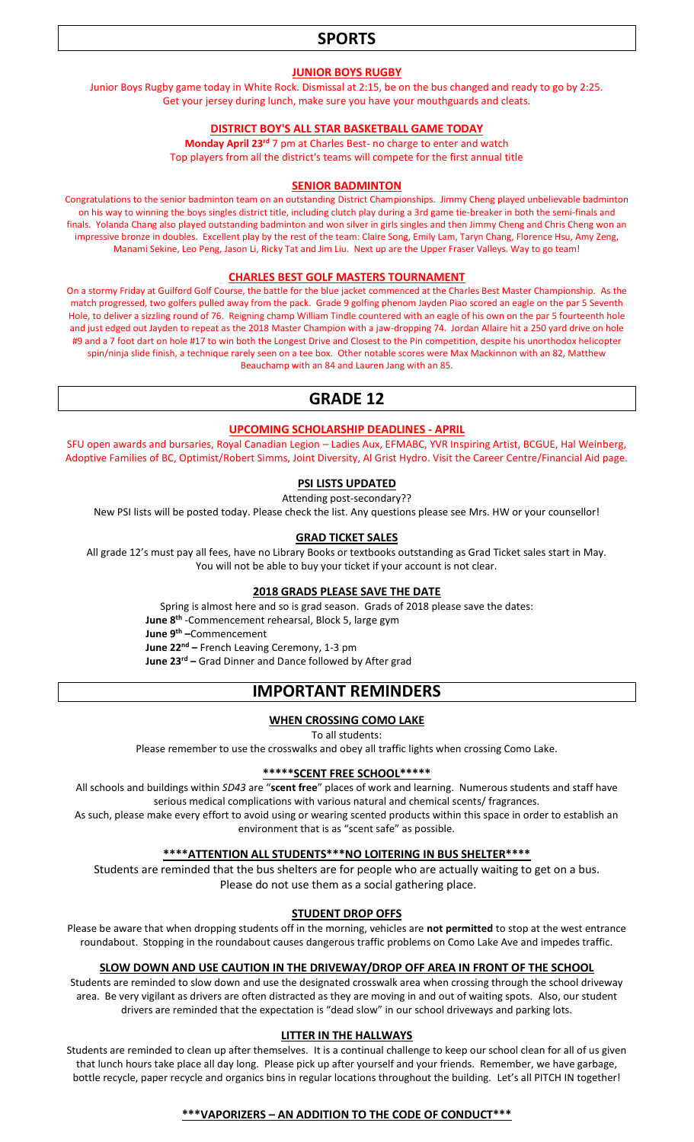# **SPORTS**

#### **JUNIOR BOYS RUGBY**

Junior Boys Rugby game today in White Rock. Dismissal at 2:15, be on the bus changed and ready to go by 2:25. Get your jersey during lunch, make sure you have your mouthguards and cleats.

#### **DISTRICT BOY'S ALL STAR BASKETBALL GAME TODAY**

**Monday April 23rd** 7 pm at Charles Best- no charge to enter and watch Top players from all the district's teams will compete for the first annual title

#### **SENIOR BADMINTON**

Congratulations to the senior badminton team on an outstanding District Championships. Jimmy Cheng played unbelievable badminton on his way to winning the boys singles district title, including clutch play during a 3rd game tie-breaker in both the semi-finals and finals. Yolanda Chang also played outstanding badminton and won silver in girls singles and then Jimmy Cheng and Chris Cheng won an impressive bronze in doubles. Excellent play by the rest of the team: Claire Song, Emily Lam, Taryn Chang, Florence Hsu, Amy Zeng, Manami Sekine, Leo Peng, Jason Li, Ricky Tat and Jim Liu. Next up are the Upper Fraser Valleys. Way to go team!

#### **CHARLES BEST GOLF MASTERS TOURNAMENT**

On a stormy Friday at Guilford Golf Course, the battle for the blue jacket commenced at the Charles Best Master Championship. As the match progressed, two golfers pulled away from the pack. Grade 9 golfing phenom Jayden Piao scored an eagle on the par 5 Seventh Hole, to deliver a sizzling round of 76. Reigning champ William Tindle countered with an eagle of his own on the par 5 fourteenth hole and just edged out Jayden to repeat as the 2018 Master Champion with a jaw-dropping 74. Jordan Allaire hit a 250 yard drive on hole #9 and a 7 foot dart on hole #17 to win both the Longest Drive and Closest to the Pin competition, despite his unorthodox helicopter spin/ninja slide finish, a technique rarely seen on a tee box. Other notable scores were Max Mackinnon with an 82, Matthew Beauchamp with an 84 and Lauren Jang with an 85.

## **GRADE 12**

#### **UPCOMING SCHOLARSHIP DEADLINES - APRIL**

SFU open awards and bursaries, Royal Canadian Legion – Ladies Aux, EFMABC, YVR Inspiring Artist, BCGUE, Hal Weinberg, Adoptive Families of BC, Optimist/Robert Simms, Joint Diversity, Al Grist Hydro. Visit the Career Centre/Financial Aid page.

### **PSI LISTS UPDATED**

Attending post-secondary??

New PSI lists will be posted today. Please check the list. Any questions please see Mrs. HW or your counsellor!

#### **GRAD TICKET SALES**

All grade 12's must pay all fees, have no Library Books or textbooks outstanding as Grad Ticket sales start in May. You will not be able to buy your ticket if your account is not clear.

#### **2018 GRADS PLEASE SAVE THE DATE**

Spring is almost here and so is grad season. Grads of 2018 please save the dates: **June 8th** -Commencement rehearsal, Block 5, large gym **June 9th –**Commencement **June 22nd –** French Leaving Ceremony, 1-3 pm **June 23rd –** Grad Dinner and Dance followed by After grad

# **IMPORTANT REMINDERS**

#### **WHEN CROSSING COMO LAKE**

To all students:

Please remember to use the crosswalks and obey all traffic lights when crossing Como Lake.

## **\*\*\*\*\*SCENT FREE SCHOOL\*\*\*\*\***

All schools and buildings within *SD43* are "**scent free**" places of work and learning. Numerous students and staff have serious medical complications with various natural and chemical scents/ fragrances.

As such, please make every effort to avoid using or wearing scented products within this space in order to establish an environment that is as "scent safe" as possible.

#### **\*\*\*\*ATTENTION ALL STUDENTS\*\*\*NO LOITERING IN BUS SHELTER\*\*\*\***

Students are reminded that the bus shelters are for people who are actually waiting to get on a bus. Please do not use them as a social gathering place.

#### **STUDENT DROP OFFS**

Please be aware that when dropping students off in the morning, vehicles are **not permitted** to stop at the west entrance roundabout. Stopping in the roundabout causes dangerous traffic problems on Como Lake Ave and impedes traffic.

## **SLOW DOWN AND USE CAUTION IN THE DRIVEWAY/DROP OFF AREA IN FRONT OF THE SCHOOL**

Students are reminded to slow down and use the designated crosswalk area when crossing through the school driveway area. Be very vigilant as drivers are often distracted as they are moving in and out of waiting spots. Also, our student drivers are reminded that the expectation is "dead slow" in our school driveways and parking lots.

#### **LITTER IN THE HALLWAYS**

Students are reminded to clean up after themselves. It is a continual challenge to keep our school clean for all of us given that lunch hours take place all day long. Please pick up after yourself and your friends. Remember, we have garbage, bottle recycle, paper recycle and organics bins in regular locations throughout the building. Let's all PITCH IN together!

#### **\*\*\*VAPORIZERS – AN ADDITION TO THE CODE OF CONDUCT\*\*\***